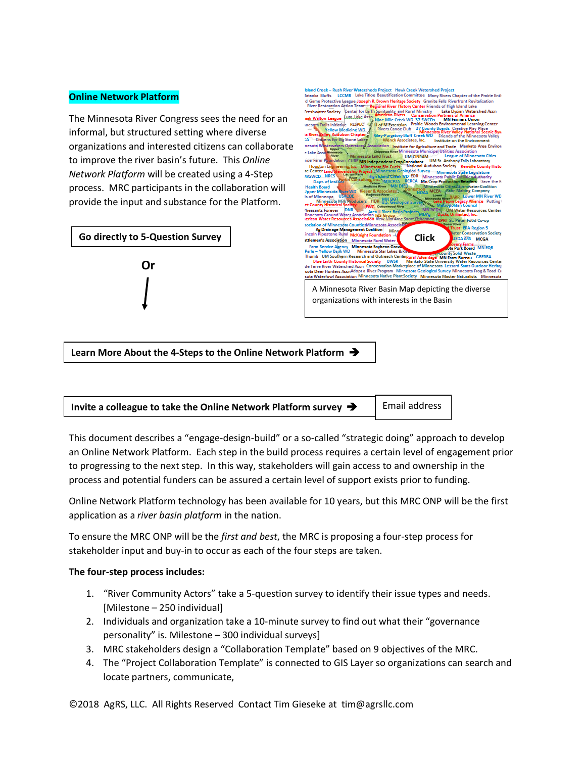## **Online Network Platform**

The Minnesota River Congress sees the need for an informal, but structured setting where diverse organizations and interested citizens can collaborate to improve the river basin's future. This *Online Network Platform* will be created using a 4-Step process. MRC participants in the collaboration will provide the input and substance for the Platform.





**Learn More About the 4-Steps to the Online Network Platform** 



This document describes a "engage-design-build" or a so-called "strategic doing" approach to develop an Online Network Platform. Each step in the build process requires a certain level of engagement prior to progressing to the next step. In this way, stakeholders will gain access to and ownership in the process and potential funders can be assured a certain level of support exists prior to funding.

Online Network Platform technology has been available for 10 years, but this MRC ONP will be the first application as a *river basin platform* in the nation.

To ensure the MRC ONP will be the *first and best*, the MRC is proposing a four-step process for stakeholder input and buy-in to occur as each of the four steps are taken.

### **The four-step process includes:**

- 1. "River Community Actors" take a 5-question survey to identify their issue types and needs. [Milestone – 250 individual]
- 2. Individuals and organization take a 10-minute survey to find out what their "governance personality" is. Milestone – 300 individual surveys]
- 3. MRC stakeholders design a "Collaboration Template" based on 9 objectives of the MRC.
- 4. The "Project Collaboration Template" is connected to GIS Layer so organizations can search and locate partners, communicate,

©2018 AgRS, LLC. All Rights Reserved Contact Tim Gieseke at tim@agrsllc.com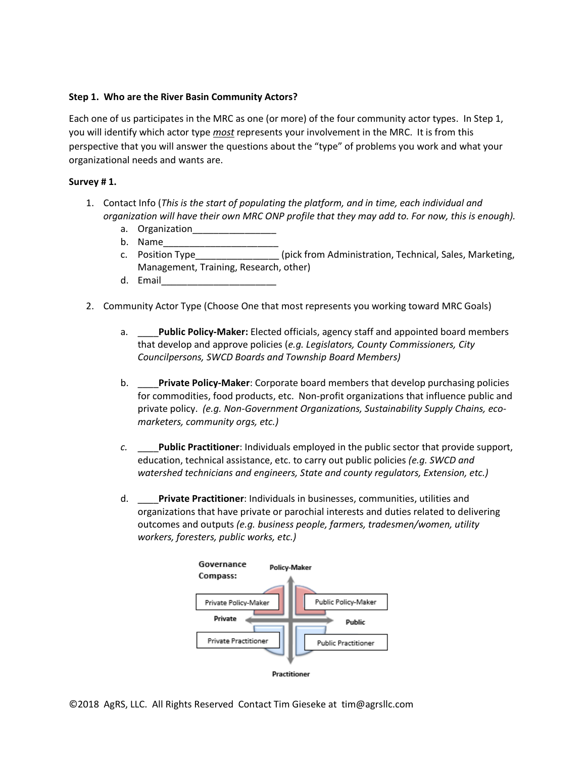# **Step 1. Who are the River Basin Community Actors?**

Each one of us participates in the MRC as one (or more) of the four community actor types. In Step 1, you will identify which actor type *most* represents your involvement in the MRC. It is from this perspective that you will answer the questions about the "type" of problems you work and what your organizational needs and wants are.

## **Survey # 1.**

- 1. Contact Info (*This is the start of populating the platform, and in time, each individual and organization will have their own MRC ONP profile that they may add to. For now, this is enough).*
	- a. Organization
	- b. Name\_\_\_\_\_\_\_\_\_\_\_\_\_\_\_\_\_\_\_\_\_\_
	- c. Position Type **c. Administration, Technical, Sales, Marketing,** Management, Training, Research, other)
	- d. Email\_\_\_\_\_\_\_\_\_\_\_\_\_\_\_\_\_\_\_\_\_\_
- 2. Community Actor Type (Choose One that most represents you working toward MRC Goals)
	- a. \_\_\_\_**Public Policy-Maker:** Elected officials, agency staff and appointed board members that develop and approve policies (*e.g. Legislators, County Commissioners, City Councilpersons, SWCD Boards and Township Board Members)*
	- b. \_\_\_\_**Private Policy-Maker**: Corporate board members that develop purchasing policies for commodities, food products, etc. Non-profit organizations that influence public and private policy. *(e.g. Non-Government Organizations, Sustainability Supply Chains, ecomarketers, community orgs, etc.)*
	- *c.* \_\_\_\_**Public Practitioner**: Individuals employed in the public sector that provide support, education, technical assistance, etc. to carry out public policies *(e.g. SWCD and watershed technicians and engineers, State and county regulators, Extension, etc.)*
	- d. \_\_\_\_**Private Practitioner**: Individuals in businesses, communities, utilities and organizations that have private or parochial interests and duties related to delivering outcomes and outputs *(e.g. business people, farmers, tradesmen/women, utility workers, foresters, public works, etc.)*

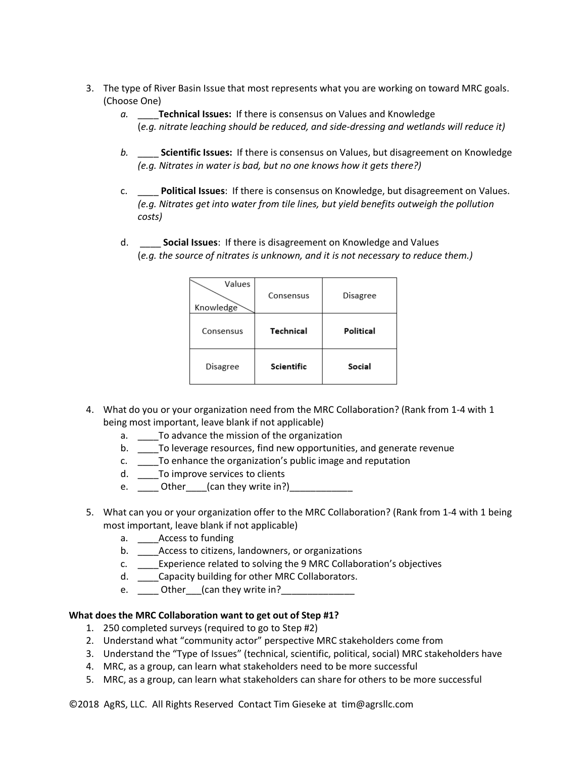- 3. The type of River Basin Issue that most represents what you are working on toward MRC goals. (Choose One)
	- *a.* \_\_\_\_**Technical Issues:** If there is consensus on Values and Knowledge (*e.g. nitrate leaching should be reduced, and side-dressing and wetlands will reduce it)*
	- *b.* \_\_\_\_ **Scientific Issues:** If there is consensus on Values, but disagreement on Knowledge *(e.g. Nitrates in water is bad, but no one knows how it gets there?)*
	- c. \_\_\_\_ **Political Issues**: If there is consensus on Knowledge, but disagreement on Values. *(e.g. Nitrates get into water from tile lines, but yield benefits outweigh the pollution costs)*
	- d. \_\_\_\_ **Social Issues**: If there is disagreement on Knowledge and Values (*e.g. the source of nitrates is unknown, and it is not necessary to reduce them.)*

| Values<br>Knowledge | Consensus  | Disagree  |
|---------------------|------------|-----------|
| Consensus           | Technical  | Political |
| Disagree            | Scientific | Social    |

- 4. What do you or your organization need from the MRC Collaboration? (Rank from 1-4 with 1 being most important, leave blank if not applicable)
	- a. \_\_\_\_To advance the mission of the organization
	- b. \_\_\_\_To leverage resources, find new opportunities, and generate revenue
	- c. \_\_\_\_To enhance the organization's public image and reputation
	- d. \_\_\_\_To improve services to clients
	- e.  $\frac{1}{2}$  Other  $\frac{1}{2}$  (can they write in?)
- 5. What can you or your organization offer to the MRC Collaboration? (Rank from 1-4 with 1 being most important, leave blank if not applicable)
	- a. \_\_\_\_Access to funding
	- b. \_\_\_\_Access to citizens, landowners, or organizations
	- c. \_\_\_\_Experience related to solving the 9 MRC Collaboration's objectives
	- d. \_\_\_\_Capacity building for other MRC Collaborators.
	- e.  $\qquad \qquad \_$  Other  $\_$  (can they write in?

# **What does the MRC Collaboration want to get out of Step #1?**

- 1. 250 completed surveys (required to go to Step #2)
- 2. Understand what "community actor" perspective MRC stakeholders come from
- 3. Understand the "Type of Issues" (technical, scientific, political, social) MRC stakeholders have
- 4. MRC, as a group, can learn what stakeholders need to be more successful
- 5. MRC, as a group, can learn what stakeholders can share for others to be more successful

©2018 AgRS, LLC. All Rights Reserved Contact Tim Gieseke at tim@agrsllc.com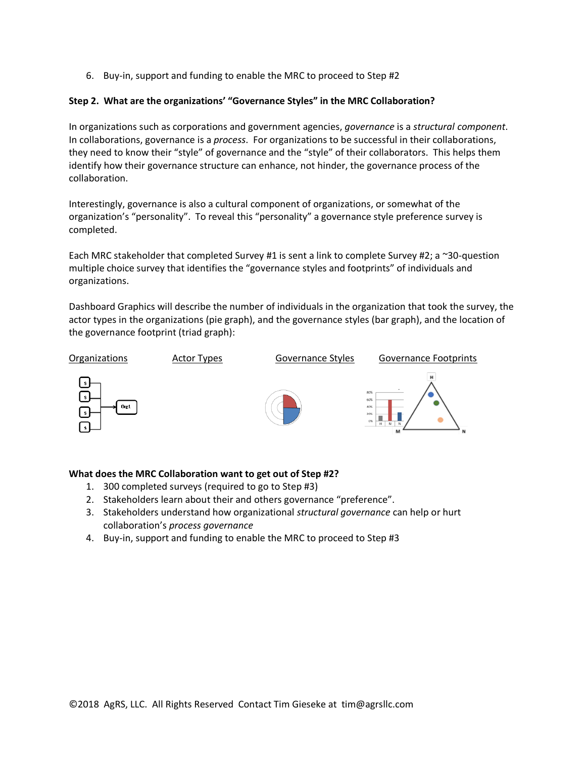6. Buy-in, support and funding to enable the MRC to proceed to Step #2

# **Step 2. What are the organizations' "Governance Styles" in the MRC Collaboration?**

In organizations such as corporations and government agencies, *governance* is a *structural component*. In collaborations, governance is a *process*. For organizations to be successful in their collaborations, they need to know their "style" of governance and the "style" of their collaborators. This helps them identify how their governance structure can enhance, not hinder, the governance process of the collaboration.

Interestingly, governance is also a cultural component of organizations, or somewhat of the organization's "personality". To reveal this "personality" a governance style preference survey is completed.

Each MRC stakeholder that completed Survey #1 is sent a link to complete Survey #2; a  $\sim$ 30-question multiple choice survey that identifies the "governance styles and footprints" of individuals and organizations.

Dashboard Graphics will describe the number of individuals in the organization that took the survey, the actor types in the organizations (pie graph), and the governance styles (bar graph), and the location of the governance footprint (triad graph):



# **What does the MRC Collaboration want to get out of Step #2?**

- 1. 300 completed surveys (required to go to Step #3)
- 2. Stakeholders learn about their and others governance "preference".
- 3. Stakeholders understand how organizational *structural governance* can help or hurt collaboration's *process governance*
- 4. Buy-in, support and funding to enable the MRC to proceed to Step #3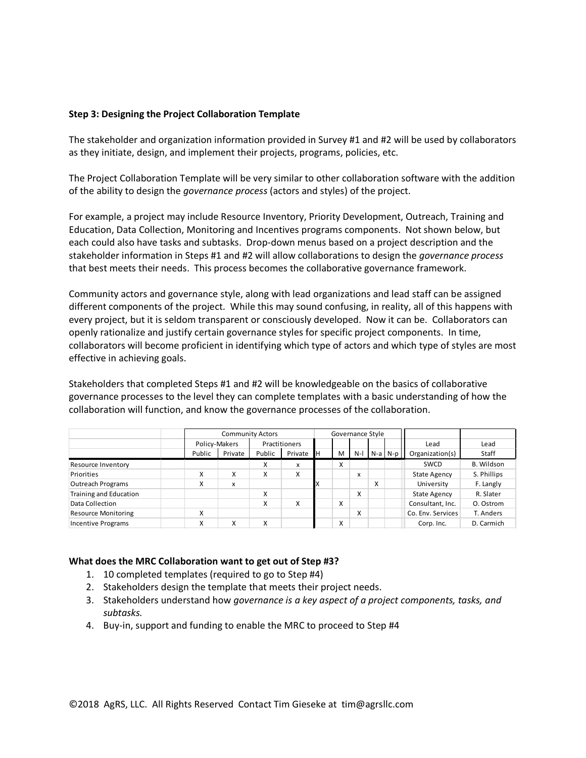## **Step 3: Designing the Project Collaboration Template**

The stakeholder and organization information provided in Survey #1 and #2 will be used by collaborators as they initiate, design, and implement their projects, programs, policies, etc.

The Project Collaboration Template will be very similar to other collaboration software with the addition of the ability to design the *governance process* (actors and styles) of the project.

For example, a project may include Resource Inventory, Priority Development, Outreach, Training and Education, Data Collection, Monitoring and Incentives programs components. Not shown below, but each could also have tasks and subtasks. Drop-down menus based on a project description and the stakeholder information in Steps #1 and #2 will allow collaborations to design the *governance process* that best meets their needs. This process becomes the collaborative governance framework.

Community actors and governance style, along with lead organizations and lead staff can be assigned different components of the project. While this may sound confusing, in reality, all of this happens with every project, but it is seldom transparent or consciously developed. Now it can be. Collaborators can openly rationalize and justify certain governance styles for specific project components. In time, collaborators will become proficient in identifying which type of actors and which type of styles are most effective in achieving goals.

Stakeholders that completed Steps #1 and #2 will be knowledgeable on the basics of collaborative governance processes to the level they can complete templates with a basic understanding of how the collaboration will function, and know the governance processes of the collaboration.

|                            |        | <b>Community Actors</b> |        |               | Governance Style |   |       |   |             |                     |             |
|----------------------------|--------|-------------------------|--------|---------------|------------------|---|-------|---|-------------|---------------------|-------------|
|                            |        | Policy-Makers           |        | Practitioners |                  |   |       |   |             | Lead                | Lead        |
|                            | Public | Private                 | Public | Private       | Ιн               | M | $N-1$ |   | $N-a$ $N-p$ | Organization(s)     | Staff       |
| Resource Inventory         |        |                         | x      | x             |                  | x |       |   |             | SWCD                | B. Wildson  |
| Priorities                 | X      | X                       | X      | X             |                  |   | x     |   |             | <b>State Agency</b> | S. Phillips |
| <b>Outreach Programs</b>   | x      | x                       |        |               | IΧ               |   |       | x |             | University          | F. Langly   |
| Training and Education     |        |                         | X      |               |                  |   | Χ     |   |             | <b>State Agency</b> | R. Slater   |
| Data Collection            |        |                         | x      | x             |                  | x |       |   |             | Consultant, Inc.    | O. Ostrom   |
| <b>Resource Monitoring</b> | X      |                         |        |               |                  |   | Χ     |   |             | Co. Env. Services   | T. Anders   |
| <b>Incentive Programs</b>  | X      | Χ                       | X      |               |                  | X |       |   |             | Corp. Inc.          | D. Carmich  |

### **What does the MRC Collaboration want to get out of Step #3?**

- 1. 10 completed templates (required to go to Step #4)
- 2. Stakeholders design the template that meets their project needs.
- 3. Stakeholders understand how *governance is a key aspect of a project components, tasks, and subtasks.*
- 4. Buy-in, support and funding to enable the MRC to proceed to Step #4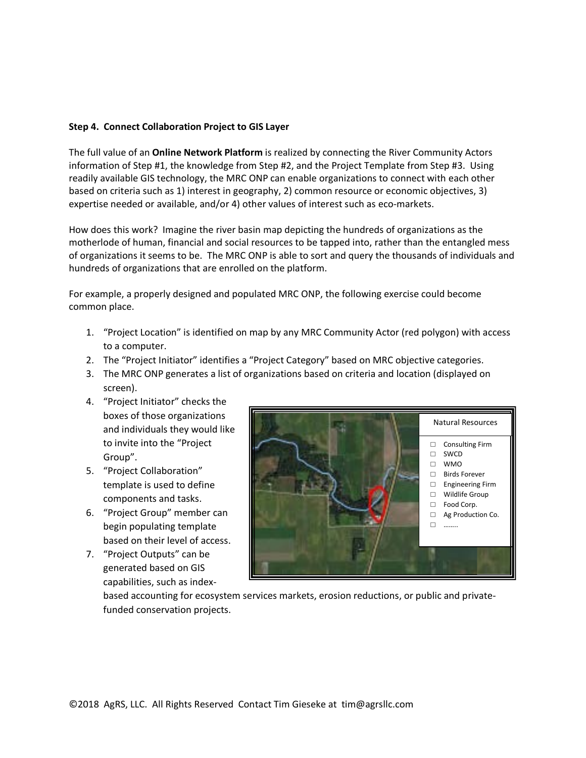# **Step 4. Connect Collaboration Project to GIS Layer**

The full value of an **Online Network Platform** is realized by connecting the River Community Actors information of Step #1, the knowledge from Step #2, and the Project Template from Step #3. Using readily available GIS technology, the MRC ONP can enable organizations to connect with each other based on criteria such as 1) interest in geography, 2) common resource or economic objectives, 3) expertise needed or available, and/or 4) other values of interest such as eco-markets.

How does this work? Imagine the river basin map depicting the hundreds of organizations as the motherlode of human, financial and social resources to be tapped into, rather than the entangled mess of organizations it seems to be. The MRC ONP is able to sort and query the thousands of individuals and hundreds of organizations that are enrolled on the platform.

For example, a properly designed and populated MRC ONP, the following exercise could become common place.

- 1. "Project Location" is identified on map by any MRC Community Actor (red polygon) with access to a computer.
- 2. The "Project Initiator" identifies a "Project Category" based on MRC objective categories.
- 3. The MRC ONP generates a list of organizations based on criteria and location (displayed on screen).
- 4. "Project Initiator" checks the boxes of those organizations and individuals they would like to invite into the "Project Group".
- 5. "Project Collaboration" template is used to define components and tasks.
- 6. "Project Group" member can begin populating template based on their level of access.
- 7. "Project Outputs" can be generated based on GIS capabilities, such as index-



based accounting for ecosystem services markets, erosion reductions, or public and privatefunded conservation projects.